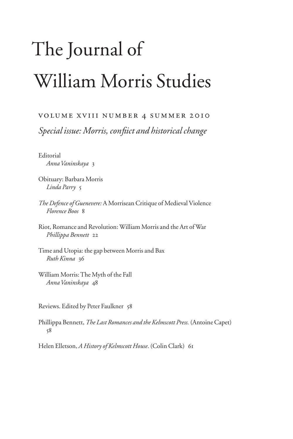## The Journal of William Morris Studies

## volume xviii number 4 summer 2010

*Special issue: Morris, confiict and historical change* 

**Editorial** *Anna Vaninskaya* 3

Obituary: Barbara Morris *Linda Parry* 5

*The Defence of Guenevere:* A Morrisean Critique of Medieval Violence *Florence Boos* 8

Riot, Romance and Revolution: William Morris and the Art of War *Phillippa Bennett* 22

Time and Utopia: the gap between Morris and Bax *Ruth Kinna* 36

William Morris: The Myth of the Fall *Anna Vaninskaya* 48

Reviews. Edited by Peter Faulkner 58

Phillippa Bennett, *The Last Romances and the Kelmscott Press.* (Antoine Capet) 58

Helen Elletson, *A History of Kelmscott House*. (Colin Clark) 61